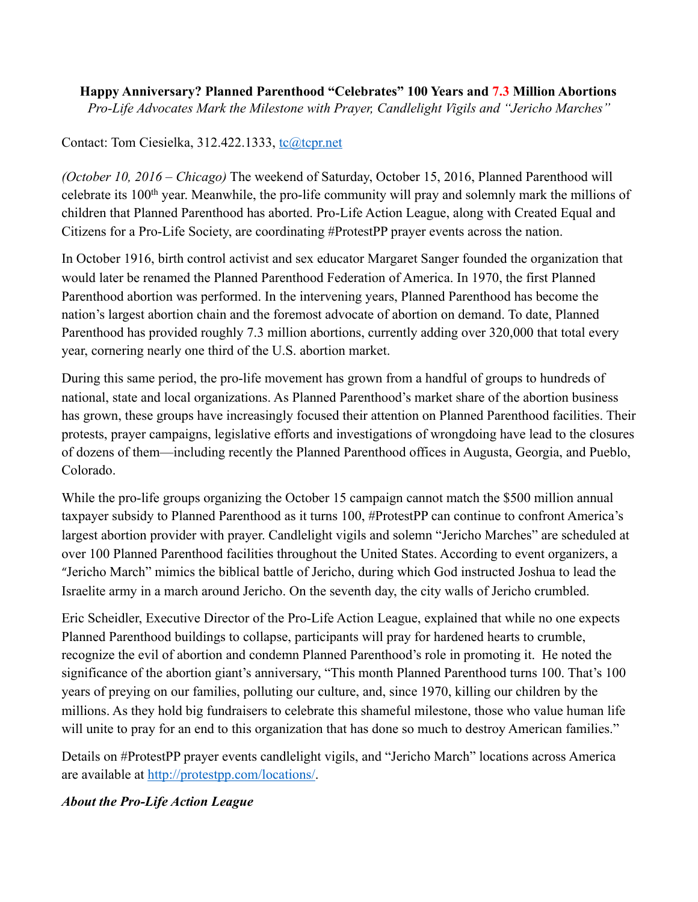## **Happy Anniversary? Planned Parenthood "Celebrates" 100 Years and 7.3 Million Abortions**  *Pro-Life Advocates Mark the Milestone with Prayer, Candlelight Vigils and "Jericho Marches"*

## Contact: Tom Ciesielka, 312.422.1333, [tc@tcpr.net](mailto:tc@tcpr.net)

*(October 10, 2016 – Chicago)* The weekend of Saturday, October 15, 2016, Planned Parenthood will celebrate its 100th year. Meanwhile, the pro-life community will pray and solemnly mark the millions of children that Planned Parenthood has aborted. Pro-Life Action League, along with Created Equal and Citizens for a Pro-Life Society, are coordinating #ProtestPP prayer events across the nation.

In October 1916, birth control activist and sex educator Margaret Sanger founded the organization that would later be renamed the Planned Parenthood Federation of America. In 1970, the first Planned Parenthood abortion was performed. In the intervening years, Planned Parenthood has become the nation's largest abortion chain and the foremost advocate of abortion on demand. To date, Planned Parenthood has provided roughly 7.3 million abortions, currently adding over 320,000 that total every year, cornering nearly one third of the U.S. abortion market.

During this same period, the pro-life movement has grown from a handful of groups to hundreds of national, state and local organizations. As Planned Parenthood's market share of the abortion business has grown, these groups have increasingly focused their attention on Planned Parenthood facilities. Their protests, prayer campaigns, legislative efforts and investigations of wrongdoing have lead to the closures of dozens of them—including recently the Planned Parenthood offices in Augusta, Georgia, and Pueblo, Colorado.

While the pro-life groups organizing the October 15 campaign cannot match the \$500 million annual taxpayer subsidy to Planned Parenthood as it turns 100, #ProtestPP can continue to confront America's largest abortion provider with prayer. Candlelight vigils and solemn "Jericho Marches" are scheduled at over 100 Planned Parenthood facilities throughout the United States. According to event organizers, a "Jericho March" mimics the biblical battle of Jericho, during which God instructed Joshua to lead the Israelite army in a march around Jericho. On the seventh day, the city walls of Jericho crumbled.

Eric Scheidler, Executive Director of the Pro-Life Action League, explained that while no one expects Planned Parenthood buildings to collapse, participants will pray for hardened hearts to crumble, recognize the evil of abortion and condemn Planned Parenthood's role in promoting it. He noted the significance of the abortion giant's anniversary, "This month Planned Parenthood turns 100. That's 100 years of preying on our families, polluting our culture, and, since 1970, killing our children by the millions. As they hold big fundraisers to celebrate this shameful milestone, those who value human life will unite to pray for an end to this organization that has done so much to destroy American families."

Details on #ProtestPP prayer events candlelight vigils, and "Jericho March" locations across America are available at [http://protestpp.com/locations/.](http://protestpp.com/locations/)

## *About the Pro-Life Action League*